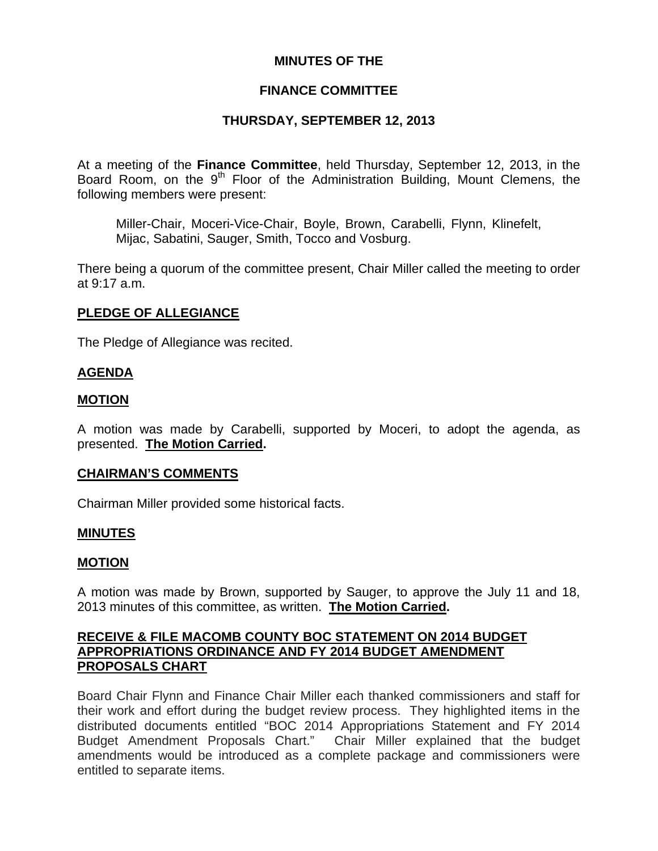# **MINUTES OF THE**

## **FINANCE COMMITTEE**

# **THURSDAY, SEPTEMBER 12, 2013**

At a meeting of the **Finance Committee**, held Thursday, September 12, 2013, in the Board Room, on the  $9<sup>th</sup>$  Floor of the Administration Building, Mount Clemens, the following members were present:

Miller-Chair, Moceri-Vice-Chair, Boyle, Brown, Carabelli, Flynn, Klinefelt, Mijac, Sabatini, Sauger, Smith, Tocco and Vosburg.

There being a quorum of the committee present, Chair Miller called the meeting to order at 9:17 a.m.

## **PLEDGE OF ALLEGIANCE**

The Pledge of Allegiance was recited.

## **AGENDA**

### **MOTION**

A motion was made by Carabelli, supported by Moceri, to adopt the agenda, as presented. **The Motion Carried.** 

### **CHAIRMAN'S COMMENTS**

Chairman Miller provided some historical facts.

### **MINUTES**

### **MOTION**

A motion was made by Brown, supported by Sauger, to approve the July 11 and 18, 2013 minutes of this committee, as written. **The Motion Carried.** 

### **RECEIVE & FILE MACOMB COUNTY BOC STATEMENT ON 2014 BUDGET APPROPRIATIONS ORDINANCE AND FY 2014 BUDGET AMENDMENT PROPOSALS CHART**

Board Chair Flynn and Finance Chair Miller each thanked commissioners and staff for their work and effort during the budget review process. They highlighted items in the distributed documents entitled "BOC 2014 Appropriations Statement and FY 2014 Budget Amendment Proposals Chart." Chair Miller explained that the budget amendments would be introduced as a complete package and commissioners were entitled to separate items.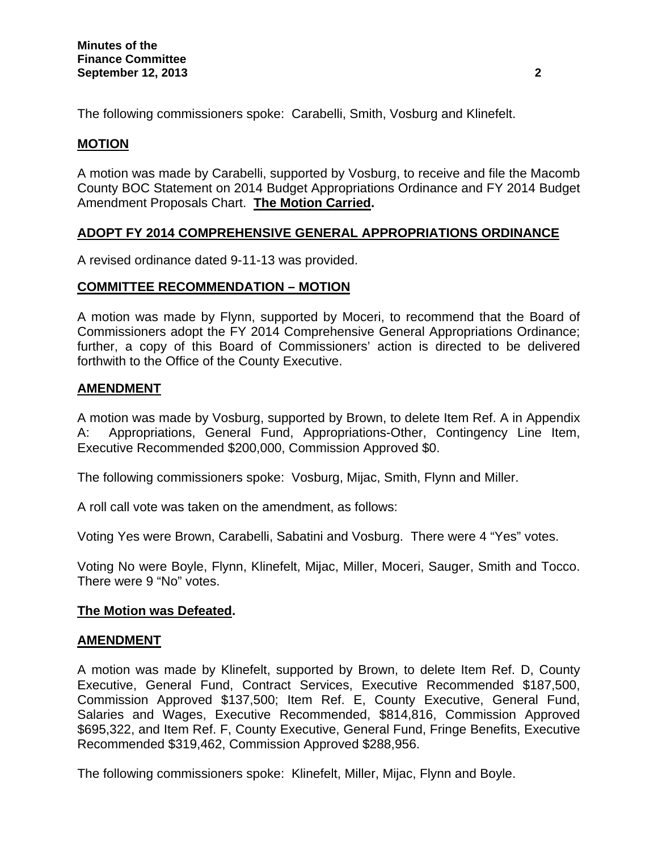The following commissioners spoke: Carabelli, Smith, Vosburg and Klinefelt.

# **MOTION**

A motion was made by Carabelli, supported by Vosburg, to receive and file the Macomb County BOC Statement on 2014 Budget Appropriations Ordinance and FY 2014 Budget Amendment Proposals Chart. **The Motion Carried.** 

# **ADOPT FY 2014 COMPREHENSIVE GENERAL APPROPRIATIONS ORDINANCE**

A revised ordinance dated 9-11-13 was provided.

## **COMMITTEE RECOMMENDATION – MOTION**

A motion was made by Flynn, supported by Moceri, to recommend that the Board of Commissioners adopt the FY 2014 Comprehensive General Appropriations Ordinance; further, a copy of this Board of Commissioners' action is directed to be delivered forthwith to the Office of the County Executive.

## **AMENDMENT**

A motion was made by Vosburg, supported by Brown, to delete Item Ref. A in Appendix A: Appropriations, General Fund, Appropriations-Other, Contingency Line Item, Executive Recommended \$200,000, Commission Approved \$0.

The following commissioners spoke: Vosburg, Mijac, Smith, Flynn and Miller.

A roll call vote was taken on the amendment, as follows:

Voting Yes were Brown, Carabelli, Sabatini and Vosburg. There were 4 "Yes" votes.

Voting No were Boyle, Flynn, Klinefelt, Mijac, Miller, Moceri, Sauger, Smith and Tocco. There were 9 "No" votes.

### **The Motion was Defeated.**

### **AMENDMENT**

A motion was made by Klinefelt, supported by Brown, to delete Item Ref. D, County Executive, General Fund, Contract Services, Executive Recommended \$187,500, Commission Approved \$137,500; Item Ref. E, County Executive, General Fund, Salaries and Wages, Executive Recommended, \$814,816, Commission Approved \$695,322, and Item Ref. F, County Executive, General Fund, Fringe Benefits, Executive Recommended \$319,462, Commission Approved \$288,956.

The following commissioners spoke: Klinefelt, Miller, Mijac, Flynn and Boyle.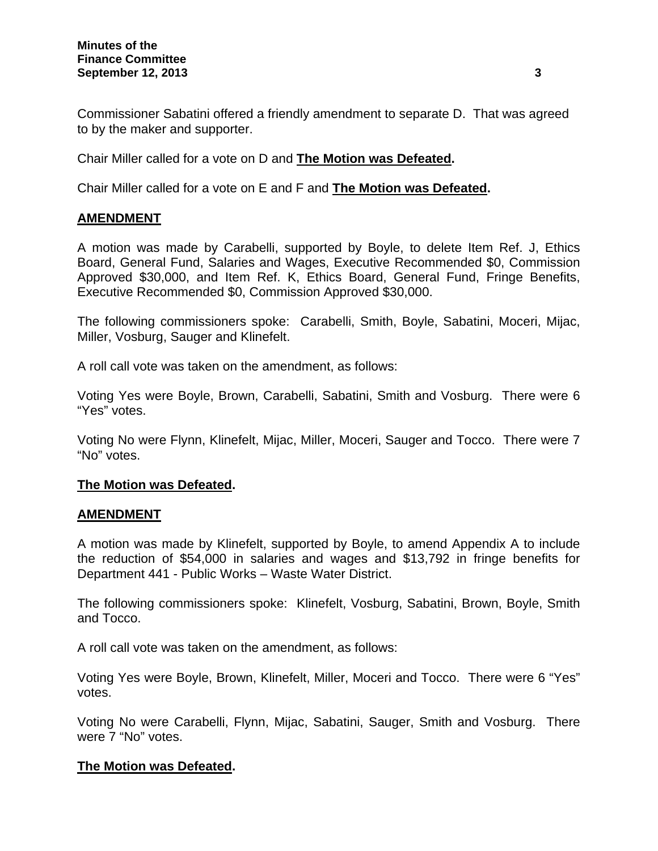Commissioner Sabatini offered a friendly amendment to separate D. That was agreed to by the maker and supporter.

Chair Miller called for a vote on D and **The Motion was Defeated.** 

Chair Miller called for a vote on E and F and **The Motion was Defeated.** 

# **AMENDMENT**

A motion was made by Carabelli, supported by Boyle, to delete Item Ref. J, Ethics Board, General Fund, Salaries and Wages, Executive Recommended \$0, Commission Approved \$30,000, and Item Ref. K, Ethics Board, General Fund, Fringe Benefits, Executive Recommended \$0, Commission Approved \$30,000.

The following commissioners spoke: Carabelli, Smith, Boyle, Sabatini, Moceri, Mijac, Miller, Vosburg, Sauger and Klinefelt.

A roll call vote was taken on the amendment, as follows:

Voting Yes were Boyle, Brown, Carabelli, Sabatini, Smith and Vosburg. There were 6 "Yes" votes.

Voting No were Flynn, Klinefelt, Mijac, Miller, Moceri, Sauger and Tocco. There were 7 "No" votes.

### **The Motion was Defeated.**

#### **AMENDMENT**

A motion was made by Klinefelt, supported by Boyle, to amend Appendix A to include the reduction of \$54,000 in salaries and wages and \$13,792 in fringe benefits for Department 441 - Public Works – Waste Water District.

The following commissioners spoke: Klinefelt, Vosburg, Sabatini, Brown, Boyle, Smith and Tocco.

A roll call vote was taken on the amendment, as follows:

Voting Yes were Boyle, Brown, Klinefelt, Miller, Moceri and Tocco. There were 6 "Yes" votes.

Voting No were Carabelli, Flynn, Mijac, Sabatini, Sauger, Smith and Vosburg. There were 7 "No" votes.

### **The Motion was Defeated.**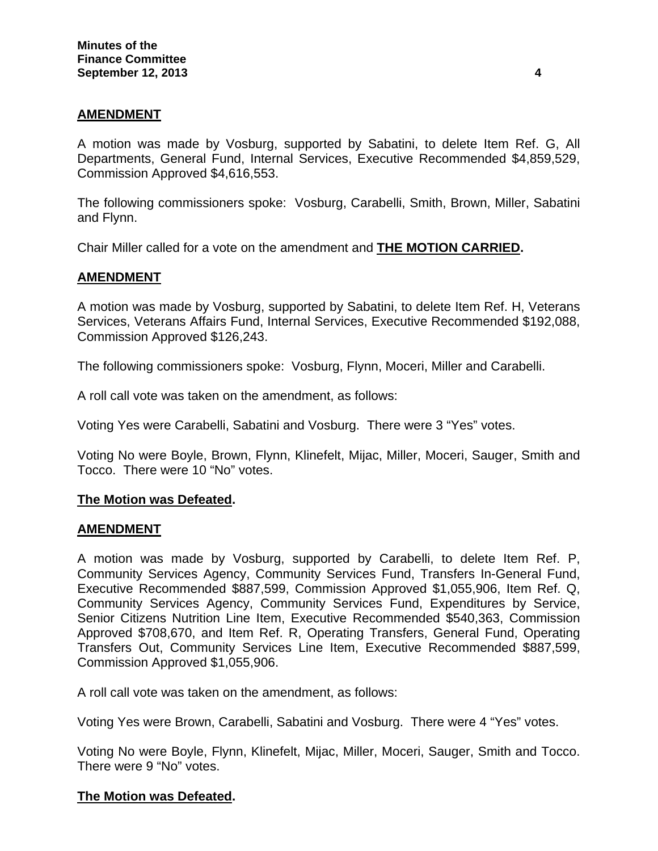## **AMENDMENT**

A motion was made by Vosburg, supported by Sabatini, to delete Item Ref. G, All Departments, General Fund, Internal Services, Executive Recommended \$4,859,529, Commission Approved \$4,616,553.

The following commissioners spoke: Vosburg, Carabelli, Smith, Brown, Miller, Sabatini and Flynn.

Chair Miller called for a vote on the amendment and **THE MOTION CARRIED.** 

### **AMENDMENT**

A motion was made by Vosburg, supported by Sabatini, to delete Item Ref. H, Veterans Services, Veterans Affairs Fund, Internal Services, Executive Recommended \$192,088, Commission Approved \$126,243.

The following commissioners spoke: Vosburg, Flynn, Moceri, Miller and Carabelli.

A roll call vote was taken on the amendment, as follows:

Voting Yes were Carabelli, Sabatini and Vosburg. There were 3 "Yes" votes.

Voting No were Boyle, Brown, Flynn, Klinefelt, Mijac, Miller, Moceri, Sauger, Smith and Tocco. There were 10 "No" votes.

### **The Motion was Defeated.**

#### **AMENDMENT**

A motion was made by Vosburg, supported by Carabelli, to delete Item Ref. P, Community Services Agency, Community Services Fund, Transfers In-General Fund, Executive Recommended \$887,599, Commission Approved \$1,055,906, Item Ref. Q, Community Services Agency, Community Services Fund, Expenditures by Service, Senior Citizens Nutrition Line Item, Executive Recommended \$540,363, Commission Approved \$708,670, and Item Ref. R, Operating Transfers, General Fund, Operating Transfers Out, Community Services Line Item, Executive Recommended \$887,599, Commission Approved \$1,055,906.

A roll call vote was taken on the amendment, as follows:

Voting Yes were Brown, Carabelli, Sabatini and Vosburg. There were 4 "Yes" votes.

Voting No were Boyle, Flynn, Klinefelt, Mijac, Miller, Moceri, Sauger, Smith and Tocco. There were 9 "No" votes.

### **The Motion was Defeated.**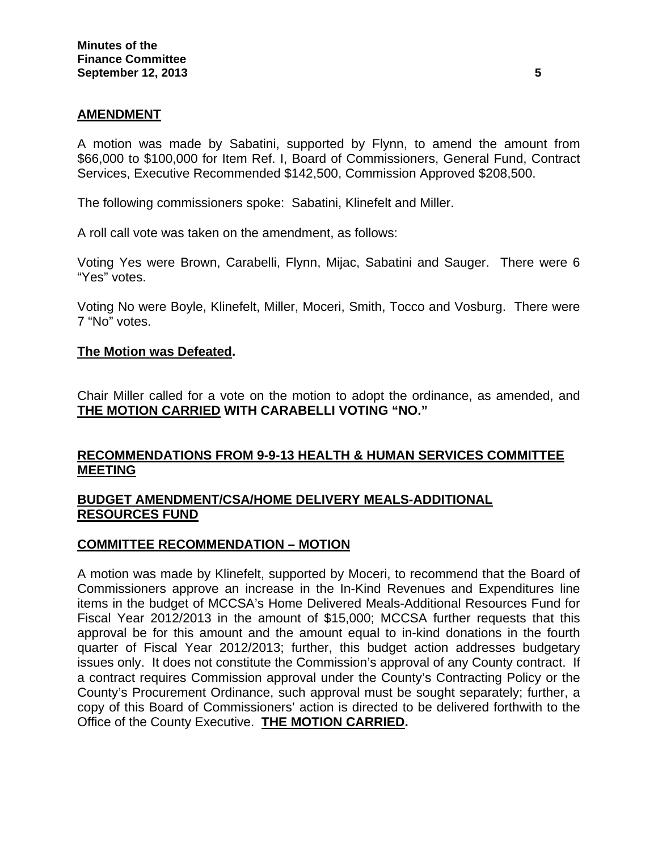## **AMENDMENT**

A motion was made by Sabatini, supported by Flynn, to amend the amount from \$66,000 to \$100,000 for Item Ref. I, Board of Commissioners, General Fund, Contract Services, Executive Recommended \$142,500, Commission Approved \$208,500.

The following commissioners spoke: Sabatini, Klinefelt and Miller.

A roll call vote was taken on the amendment, as follows:

Voting Yes were Brown, Carabelli, Flynn, Mijac, Sabatini and Sauger. There were 6 "Yes" votes.

Voting No were Boyle, Klinefelt, Miller, Moceri, Smith, Tocco and Vosburg. There were 7 "No" votes.

### **The Motion was Defeated.**

Chair Miller called for a vote on the motion to adopt the ordinance, as amended, and **THE MOTION CARRIED WITH CARABELLI VOTING "NO."** 

## **RECOMMENDATIONS FROM 9-9-13 HEALTH & HUMAN SERVICES COMMITTEE MEETING**

## **BUDGET AMENDMENT/CSA/HOME DELIVERY MEALS-ADDITIONAL RESOURCES FUND**

### **COMMITTEE RECOMMENDATION – MOTION**

A motion was made by Klinefelt, supported by Moceri, to recommend that the Board of Commissioners approve an increase in the In-Kind Revenues and Expenditures line items in the budget of MCCSA's Home Delivered Meals-Additional Resources Fund for Fiscal Year 2012/2013 in the amount of \$15,000; MCCSA further requests that this approval be for this amount and the amount equal to in-kind donations in the fourth quarter of Fiscal Year 2012/2013; further, this budget action addresses budgetary issues only. It does not constitute the Commission's approval of any County contract. If a contract requires Commission approval under the County's Contracting Policy or the County's Procurement Ordinance, such approval must be sought separately; further, a copy of this Board of Commissioners' action is directed to be delivered forthwith to the Office of the County Executive. **THE MOTION CARRIED.**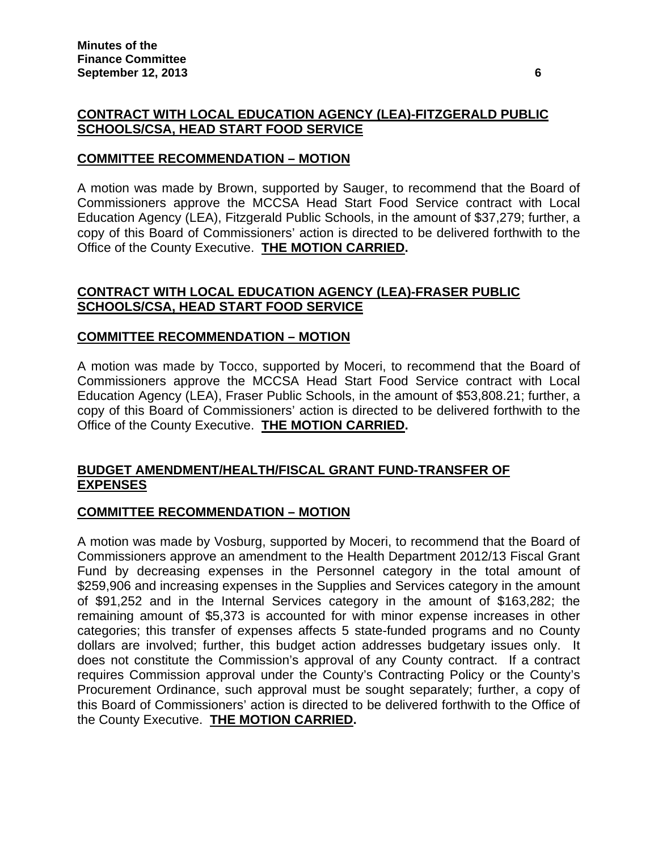# **CONTRACT WITH LOCAL EDUCATION AGENCY (LEA)-FITZGERALD PUBLIC SCHOOLS/CSA, HEAD START FOOD SERVICE**

## **COMMITTEE RECOMMENDATION – MOTION**

A motion was made by Brown, supported by Sauger, to recommend that the Board of Commissioners approve the MCCSA Head Start Food Service contract with Local Education Agency (LEA), Fitzgerald Public Schools, in the amount of \$37,279; further, a copy of this Board of Commissioners' action is directed to be delivered forthwith to the Office of the County Executive. **THE MOTION CARRIED.** 

# **CONTRACT WITH LOCAL EDUCATION AGENCY (LEA)-FRASER PUBLIC SCHOOLS/CSA, HEAD START FOOD SERVICE**

## **COMMITTEE RECOMMENDATION – MOTION**

A motion was made by Tocco, supported by Moceri, to recommend that the Board of Commissioners approve the MCCSA Head Start Food Service contract with Local Education Agency (LEA), Fraser Public Schools, in the amount of \$53,808.21; further, a copy of this Board of Commissioners' action is directed to be delivered forthwith to the Office of the County Executive. **THE MOTION CARRIED.** 

# **BUDGET AMENDMENT/HEALTH/FISCAL GRANT FUND-TRANSFER OF EXPENSES**

### **COMMITTEE RECOMMENDATION – MOTION**

A motion was made by Vosburg, supported by Moceri, to recommend that the Board of Commissioners approve an amendment to the Health Department 2012/13 Fiscal Grant Fund by decreasing expenses in the Personnel category in the total amount of \$259,906 and increasing expenses in the Supplies and Services category in the amount of \$91,252 and in the Internal Services category in the amount of \$163,282; the remaining amount of \$5,373 is accounted for with minor expense increases in other categories; this transfer of expenses affects 5 state-funded programs and no County dollars are involved; further, this budget action addresses budgetary issues only. It does not constitute the Commission's approval of any County contract. If a contract requires Commission approval under the County's Contracting Policy or the County's Procurement Ordinance, such approval must be sought separately; further, a copy of this Board of Commissioners' action is directed to be delivered forthwith to the Office of the County Executive. **THE MOTION CARRIED.**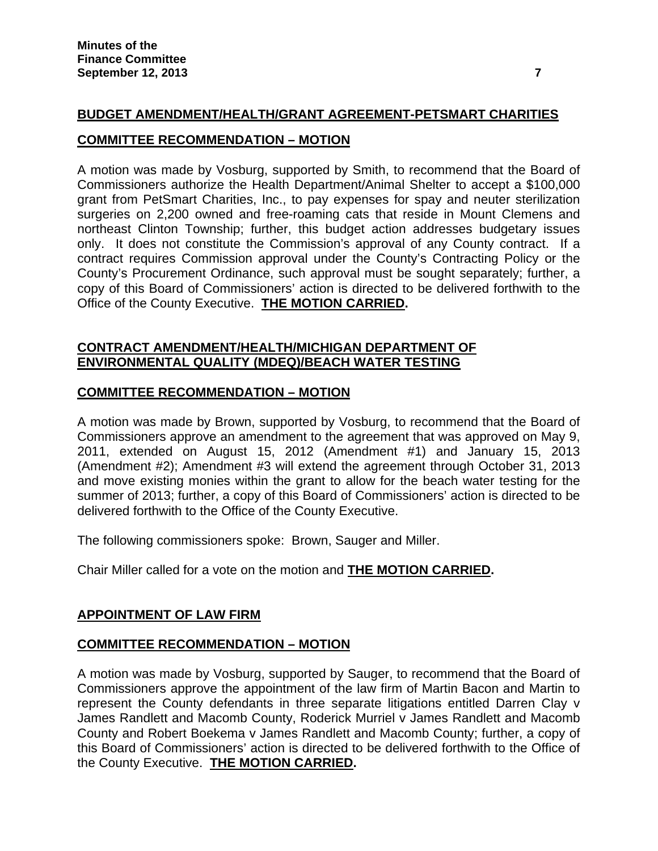# **BUDGET AMENDMENT/HEALTH/GRANT AGREEMENT-PETSMART CHARITIES**

## **COMMITTEE RECOMMENDATION – MOTION**

A motion was made by Vosburg, supported by Smith, to recommend that the Board of Commissioners authorize the Health Department/Animal Shelter to accept a \$100,000 grant from PetSmart Charities, Inc., to pay expenses for spay and neuter sterilization surgeries on 2,200 owned and free-roaming cats that reside in Mount Clemens and northeast Clinton Township; further, this budget action addresses budgetary issues only. It does not constitute the Commission's approval of any County contract. If a contract requires Commission approval under the County's Contracting Policy or the County's Procurement Ordinance, such approval must be sought separately; further, a copy of this Board of Commissioners' action is directed to be delivered forthwith to the Office of the County Executive. **THE MOTION CARRIED.** 

# **CONTRACT AMENDMENT/HEALTH/MICHIGAN DEPARTMENT OF ENVIRONMENTAL QUALITY (MDEQ)/BEACH WATER TESTING**

## **COMMITTEE RECOMMENDATION – MOTION**

A motion was made by Brown, supported by Vosburg, to recommend that the Board of Commissioners approve an amendment to the agreement that was approved on May 9, 2011, extended on August 15, 2012 (Amendment #1) and January 15, 2013 (Amendment #2); Amendment #3 will extend the agreement through October 31, 2013 and move existing monies within the grant to allow for the beach water testing for the summer of 2013; further, a copy of this Board of Commissioners' action is directed to be delivered forthwith to the Office of the County Executive.

The following commissioners spoke: Brown, Sauger and Miller.

Chair Miller called for a vote on the motion and **THE MOTION CARRIED.** 

# **APPOINTMENT OF LAW FIRM**

# **COMMITTEE RECOMMENDATION – MOTION**

A motion was made by Vosburg, supported by Sauger, to recommend that the Board of Commissioners approve the appointment of the law firm of Martin Bacon and Martin to represent the County defendants in three separate litigations entitled Darren Clay v James Randlett and Macomb County, Roderick Murriel v James Randlett and Macomb County and Robert Boekema v James Randlett and Macomb County; further, a copy of this Board of Commissioners' action is directed to be delivered forthwith to the Office of the County Executive. **THE MOTION CARRIED.**